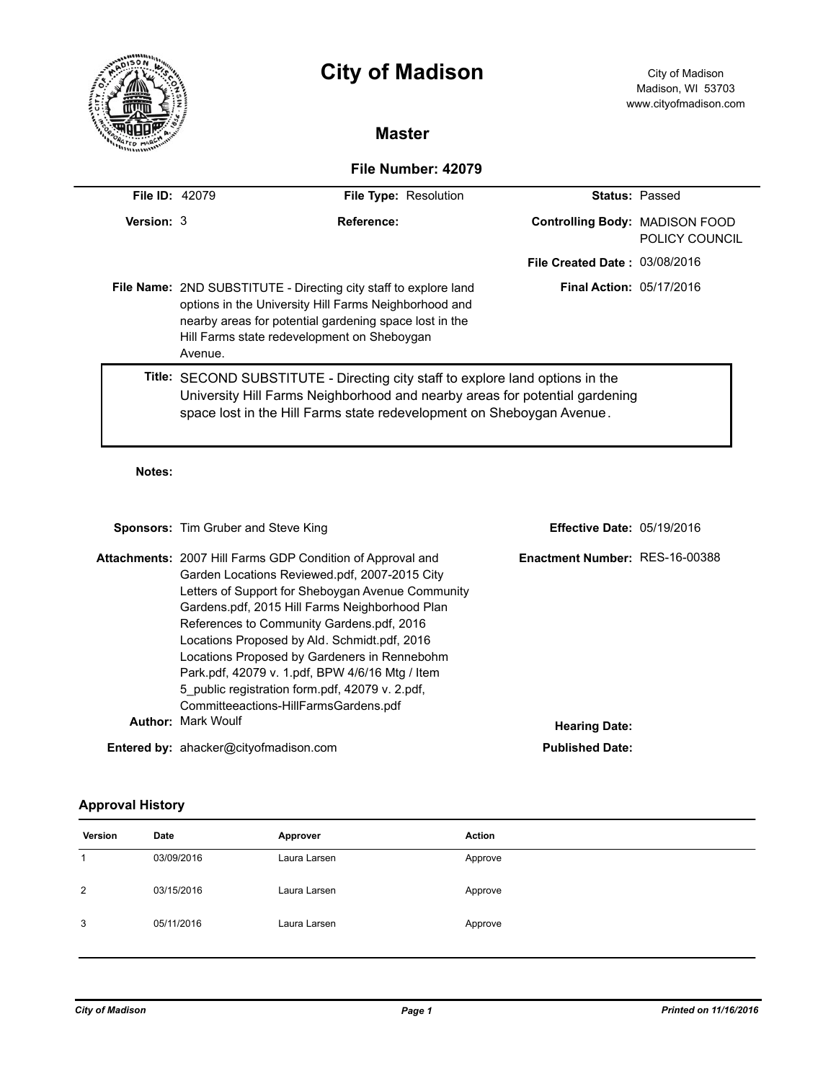|                       |         | <b>City of Madison</b>                                                                                                                                                                                                                        |                                       | City of Madison<br>Madison, WI 53703<br>www.cityofmadison.com |  |  |  |
|-----------------------|---------|-----------------------------------------------------------------------------------------------------------------------------------------------------------------------------------------------------------------------------------------------|---------------------------------------|---------------------------------------------------------------|--|--|--|
|                       |         | <b>Master</b>                                                                                                                                                                                                                                 |                                       |                                                               |  |  |  |
| File Number: 42079    |         |                                                                                                                                                                                                                                               |                                       |                                                               |  |  |  |
| <b>File ID: 42079</b> |         | File Type: Resolution                                                                                                                                                                                                                         |                                       | <b>Status: Passed</b>                                         |  |  |  |
| Version: 3            |         | <b>Reference:</b>                                                                                                                                                                                                                             | <b>Controlling Body: MADISON FOOD</b> | POLICY COUNCIL                                                |  |  |  |
|                       |         |                                                                                                                                                                                                                                               | <b>File Created Date: 03/08/2016</b>  |                                                               |  |  |  |
|                       | Avenue. | <b>File Name: 2ND SUBSTITUTE - Directing city staff to explore land</b><br>options in the University Hill Farms Neighborhood and<br>nearby areas for potential gardening space lost in the<br>Hill Farms state redevelopment on Sheboygan     | <b>Final Action: 05/17/2016</b>       |                                                               |  |  |  |
|                       |         | <b>Title:</b> SECOND SUBSTITUTE - Directing city staff to explore land options in the<br>University Hill Farms Neighborhood and nearby areas for potential gardening<br>space lost in the Hill Farms state redevelopment on Sheboygan Avenue. |                                       |                                                               |  |  |  |

#### **Notes:**

| <b>Sponsors:</b> Tim Gruber and Steve King                                                                                                                                                                                                                                                                                                                                                                                                                                                                            | <b>Effective Date: 05/19/2016</b> |  |  |
|-----------------------------------------------------------------------------------------------------------------------------------------------------------------------------------------------------------------------------------------------------------------------------------------------------------------------------------------------------------------------------------------------------------------------------------------------------------------------------------------------------------------------|-----------------------------------|--|--|
| <b>Attachments: 2007 Hill Farms GDP Condition of Approval and</b><br>Garden Locations Reviewed.pdf, 2007-2015 City<br>Letters of Support for Sheboygan Avenue Community<br>Gardens.pdf, 2015 Hill Farms Neighborhood Plan<br>References to Community Gardens.pdf, 2016<br>Locations Proposed by Ald. Schmidt.pdf, 2016<br>Locations Proposed by Gardeners in Rennebohm<br>Park.pdf, 42079 v. 1.pdf, BPW 4/6/16 Mtg / Item<br>5 public registration form.pdf, 42079 v. 2.pdf,<br>Committeeactions-HillFarmsGardens.pdf | Enactment Number: RES-16-00388    |  |  |
| <b>Author: Mark Woulf</b><br><b>Hearing Date:</b>                                                                                                                                                                                                                                                                                                                                                                                                                                                                     |                                   |  |  |
| <b>Entered by: ahacker@cityofmadison.com</b>                                                                                                                                                                                                                                                                                                                                                                                                                                                                          | <b>Published Date:</b>            |  |  |

# **Approval History**

| Version | Date       | Approver     | Action  |
|---------|------------|--------------|---------|
|         | 03/09/2016 | Laura Larsen | Approve |
| 2       | 03/15/2016 | Laura Larsen | Approve |
| 3       | 05/11/2016 | Laura Larsen | Approve |
|         |            |              |         |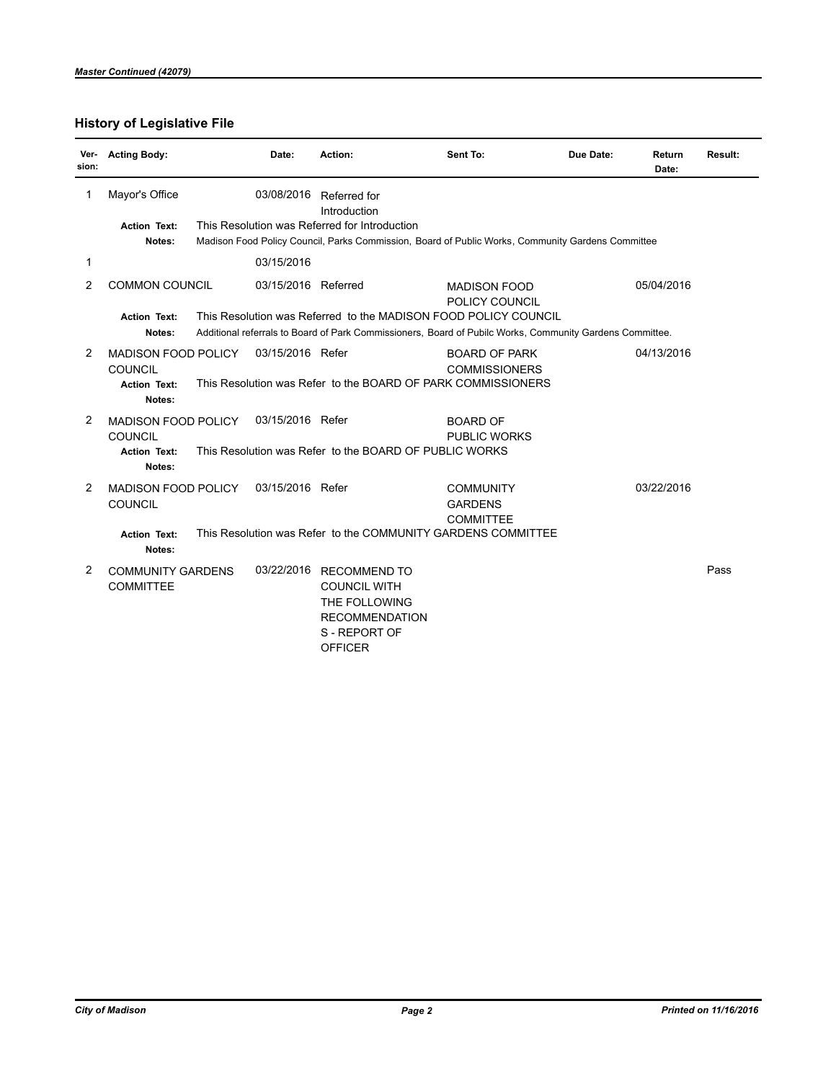# **History of Legislative File**

| Ver-<br>sion: | <b>Acting Body:</b>                          | Date:               | Action:                                                                                                               | Sent To:                                                                                                 | Due Date: | Return<br>Date: | Result: |
|---------------|----------------------------------------------|---------------------|-----------------------------------------------------------------------------------------------------------------------|----------------------------------------------------------------------------------------------------------|-----------|-----------------|---------|
| 1             | Mayor's Office                               | 03/08/2016          | Referred for<br>Introduction                                                                                          |                                                                                                          |           |                 |         |
|               | <b>Action Text:</b>                          |                     | This Resolution was Referred for Introduction                                                                         |                                                                                                          |           |                 |         |
|               | Notes:                                       |                     |                                                                                                                       | Madison Food Policy Council, Parks Commission, Board of Public Works, Community Gardens Committee        |           |                 |         |
| 1             |                                              | 03/15/2016          |                                                                                                                       |                                                                                                          |           |                 |         |
| 2             | <b>COMMON COUNCIL</b>                        | 03/15/2016 Referred |                                                                                                                       | <b>MADISON FOOD</b><br>POLICY COUNCIL                                                                    |           | 05/04/2016      |         |
|               | <b>Action Text:</b>                          |                     |                                                                                                                       | This Resolution was Referred to the MADISON FOOD POLICY COUNCIL                                          |           |                 |         |
|               | Notes:                                       |                     |                                                                                                                       | Additional referrals to Board of Park Commissioners, Board of Pubilc Works, Community Gardens Committee. |           |                 |         |
| 2             | <b>MADISON FOOD POLICY</b>                   | 03/15/2016 Refer    |                                                                                                                       | <b>BOARD OF PARK</b>                                                                                     |           | 04/13/2016      |         |
|               | <b>COUNCIL</b>                               |                     |                                                                                                                       | <b>COMMISSIONERS</b>                                                                                     |           |                 |         |
|               | <b>Action Text:</b><br>Notes:                |                     | This Resolution was Refer to the BOARD OF PARK COMMISSIONERS                                                          |                                                                                                          |           |                 |         |
| 2             | <b>MADISON FOOD POLICY</b>                   | 03/15/2016 Refer    |                                                                                                                       | <b>BOARD OF</b>                                                                                          |           |                 |         |
|               | COUNCIL                                      |                     |                                                                                                                       | <b>PUBLIC WORKS</b>                                                                                      |           |                 |         |
|               | <b>Action Text:</b>                          |                     | This Resolution was Refer to the BOARD OF PUBLIC WORKS                                                                |                                                                                                          |           |                 |         |
|               | Notes:                                       |                     |                                                                                                                       |                                                                                                          |           |                 |         |
| 2             | MADISON FOOD POLICY                          | 03/15/2016 Refer    |                                                                                                                       | <b>COMMUNITY</b>                                                                                         |           | 03/22/2016      |         |
|               | <b>COUNCIL</b>                               |                     |                                                                                                                       | <b>GARDENS</b>                                                                                           |           |                 |         |
|               |                                              |                     |                                                                                                                       | <b>COMMITTEE</b>                                                                                         |           |                 |         |
|               | <b>Action Text:</b><br>Notes:                |                     | This Resolution was Refer to the COMMUNITY GARDENS COMMITTEE                                                          |                                                                                                          |           |                 |         |
| 2             | <b>COMMUNITY GARDENS</b><br><b>COMMITTEE</b> | 03/22/2016          | <b>RECOMMEND TO</b><br><b>COUNCIL WITH</b><br>THE FOLLOWING<br><b>RECOMMENDATION</b><br>S-REPORT OF<br><b>OFFICER</b> |                                                                                                          |           |                 | Pass    |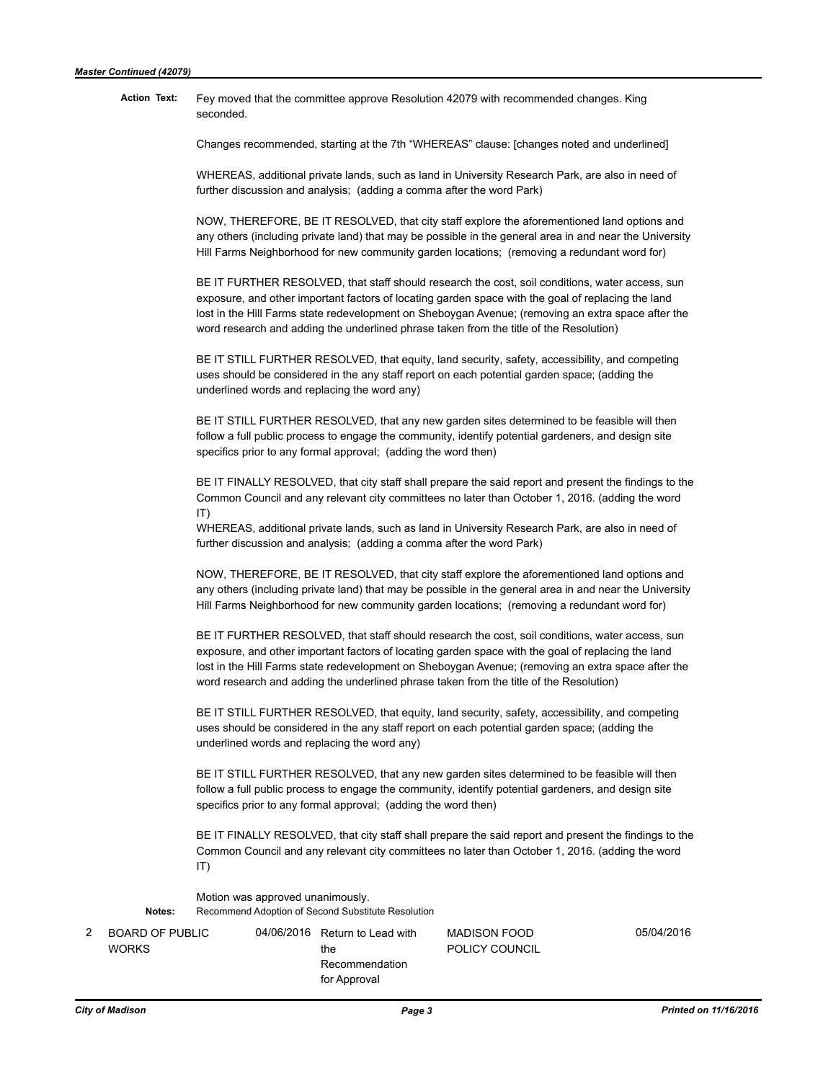#### Fey moved that the committee approve Resolution 42079 with recommended changes. King seconded.  **Action Text:**

Changes recommended, starting at the 7th "WHEREAS" clause: [changes noted and underlined]

WHEREAS, additional private lands, such as land in University Research Park, are also in need of further discussion and analysis; (adding a comma after the word Park)

NOW, THEREFORE, BE IT RESOLVED, that city staff explore the aforementioned land options and any others (including private land) that may be possible in the general area in and near the University Hill Farms Neighborhood for new community garden locations; (removing a redundant word for)

BE IT FURTHER RESOLVED, that staff should research the cost, soil conditions, water access, sun exposure, and other important factors of locating garden space with the goal of replacing the land lost in the Hill Farms state redevelopment on Sheboygan Avenue; (removing an extra space after the word research and adding the underlined phrase taken from the title of the Resolution)

BE IT STILL FURTHER RESOLVED, that equity, land security, safety, accessibility, and competing uses should be considered in the any staff report on each potential garden space; (adding the underlined words and replacing the word any)

BE IT STILL FURTHER RESOLVED, that any new garden sites determined to be feasible will then follow a full public process to engage the community, identify potential gardeners, and design site specifics prior to any formal approval; (adding the word then)

BE IT FINALLY RESOLVED, that city staff shall prepare the said report and present the findings to the Common Council and any relevant city committees no later than October 1, 2016. (adding the word IT)

WHEREAS, additional private lands, such as land in University Research Park, are also in need of further discussion and analysis; (adding a comma after the word Park)

NOW, THEREFORE, BE IT RESOLVED, that city staff explore the aforementioned land options and any others (including private land) that may be possible in the general area in and near the University Hill Farms Neighborhood for new community garden locations; (removing a redundant word for)

BE IT FURTHER RESOLVED, that staff should research the cost, soil conditions, water access, sun exposure, and other important factors of locating garden space with the goal of replacing the land lost in the Hill Farms state redevelopment on Sheboygan Avenue; (removing an extra space after the word research and adding the underlined phrase taken from the title of the Resolution)

BE IT STILL FURTHER RESOLVED, that equity, land security, safety, accessibility, and competing uses should be considered in the any staff report on each potential garden space; (adding the underlined words and replacing the word any)

BE IT STILL FURTHER RESOLVED, that any new garden sites determined to be feasible will then follow a full public process to engage the community, identify potential gardeners, and design site specifics prior to any formal approval; (adding the word then)

BE IT FINALLY RESOLVED, that city staff shall prepare the said report and present the findings to the Common Council and any relevant city committees no later than October 1, 2016. (adding the word IT)

Motion was approved unanimously.  **Notes:** Recommend Adoption of Second Substitute Resolution

| 2 | BOARD OF PUBL |
|---|---------------|
|   | <b>WORKS</b>  |
|   |               |

the Recommendation for Approval

2 BOARD OF PUBLIC 04/06/2016 Return to Lead with MADISON FOOD 05/04/2016 POLICY COUNCIL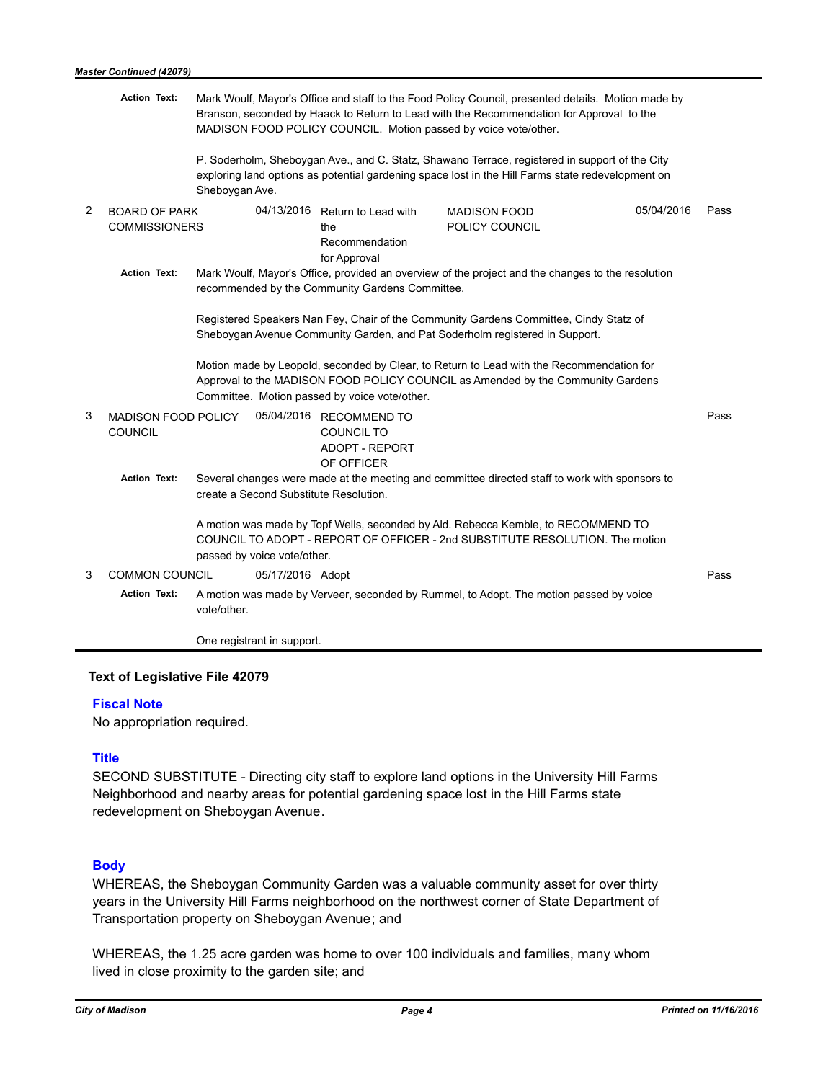|                | <b>Action Text:</b>                          | Mark Woulf, Mayor's Office and staff to the Food Policy Council, presented details. Motion made by<br>Branson, seconded by Haack to Return to Lead with the Recommendation for Approval to the<br>MADISON FOOD POLICY COUNCIL. Motion passed by voice vote/other. |      |  |  |  |  |
|----------------|----------------------------------------------|-------------------------------------------------------------------------------------------------------------------------------------------------------------------------------------------------------------------------------------------------------------------|------|--|--|--|--|
|                |                                              | P. Soderholm, Sheboygan Ave., and C. Statz, Shawano Terrace, registered in support of the City<br>exploring land options as potential gardening space lost in the Hill Farms state redevelopment on<br>Sheboygan Ave.                                             |      |  |  |  |  |
| $\overline{2}$ | <b>BOARD OF PARK</b><br><b>COMMISSIONERS</b> | 04/13/2016 Return to Lead with<br>05/04/2016<br><b>MADISON FOOD</b><br>POLICY COUNCIL<br>the<br>Recommendation<br>for Approval                                                                                                                                    | Pass |  |  |  |  |
|                | <b>Action Text:</b>                          | Mark Woulf, Mayor's Office, provided an overview of the project and the changes to the resolution<br>recommended by the Community Gardens Committee.                                                                                                              |      |  |  |  |  |
|                |                                              | Registered Speakers Nan Fey, Chair of the Community Gardens Committee, Cindy Statz of<br>Sheboygan Avenue Community Garden, and Pat Soderholm registered in Support.                                                                                              |      |  |  |  |  |
|                |                                              | Motion made by Leopold, seconded by Clear, to Return to Lead with the Recommendation for<br>Approval to the MADISON FOOD POLICY COUNCIL as Amended by the Community Gardens<br>Committee. Motion passed by voice vote/other.                                      |      |  |  |  |  |
| 3              | <b>MADISON FOOD POLICY</b><br><b>COUNCIL</b> | 05/04/2016 RECOMMEND TO<br><b>COUNCIL TO</b><br><b>ADOPT - REPORT</b><br>OF OFFICER                                                                                                                                                                               | Pass |  |  |  |  |
|                | <b>Action Text:</b>                          | Several changes were made at the meeting and committee directed staff to work with sponsors to<br>create a Second Substitute Resolution.                                                                                                                          |      |  |  |  |  |
|                |                                              | A motion was made by Topf Wells, seconded by Ald. Rebecca Kemble, to RECOMMEND TO<br>COUNCIL TO ADOPT - REPORT OF OFFICER - 2nd SUBSTITUTE RESOLUTION. The motion<br>passed by voice vote/other.                                                                  |      |  |  |  |  |
| 3              | <b>COMMON COUNCIL</b>                        | 05/17/2016 Adopt                                                                                                                                                                                                                                                  | Pass |  |  |  |  |
|                | <b>Action Text:</b>                          | A motion was made by Verveer, seconded by Rummel, to Adopt. The motion passed by voice<br>vote/other.                                                                                                                                                             |      |  |  |  |  |
|                |                                              | One registrant in support.                                                                                                                                                                                                                                        |      |  |  |  |  |

### **Text of Legislative File 42079**

#### **Fiscal Note**

No appropriation required.

# **Title**

SECOND SUBSTITUTE - Directing city staff to explore land options in the University Hill Farms Neighborhood and nearby areas for potential gardening space lost in the Hill Farms state redevelopment on Sheboygan Avenue.

## **Body**

WHEREAS, the Sheboygan Community Garden was a valuable community asset for over thirty years in the University Hill Farms neighborhood on the northwest corner of State Department of Transportation property on Sheboygan Avenue; and

WHEREAS, the 1.25 acre garden was home to over 100 individuals and families, many whom lived in close proximity to the garden site; and